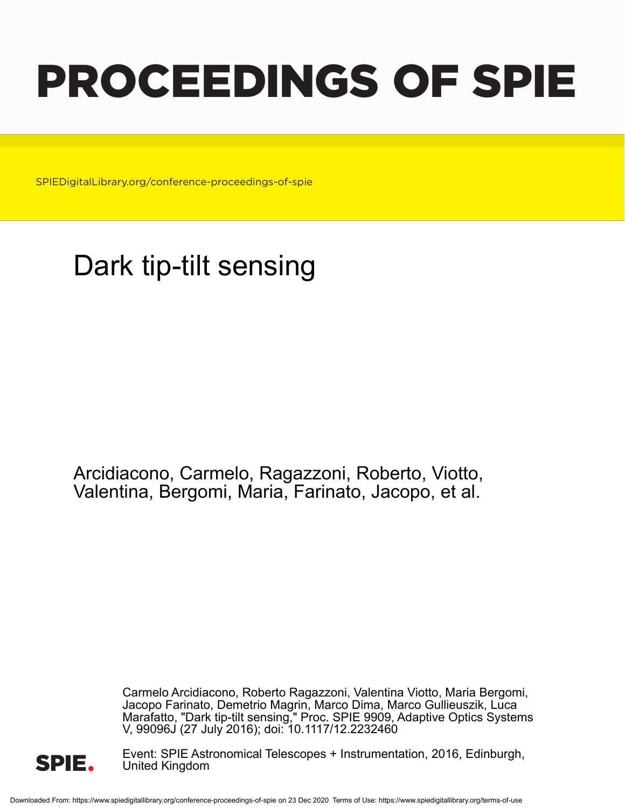# PROCEEDINGS OF SPIE

SPIEDigitalLibrary.org/conference-proceedings-of-spie

## Dark tip-tilt sensing

Arcidiacono, Carmelo, Ragazzoni, Roberto, Viotto, Valentina, Bergomi, Maria, Farinato, Jacopo, et al.

> Carmelo Arcidiacono, Roberto Ragazzoni, Valentina Viotto, Maria Bergomi, Jacopo Farinato, Demetrio Magrin, Marco Dima, Marco Gullieuszik, Luca Marafatto, "Dark tip-tilt sensing," Proc. SPIE 9909, Adaptive Optics Systems V, 99096J (27 July 2016); doi: 10.1117/12.2232460



Event: SPIE Astronomical Telescopes + Instrumentation, 2016, Edinburgh, United Kingdom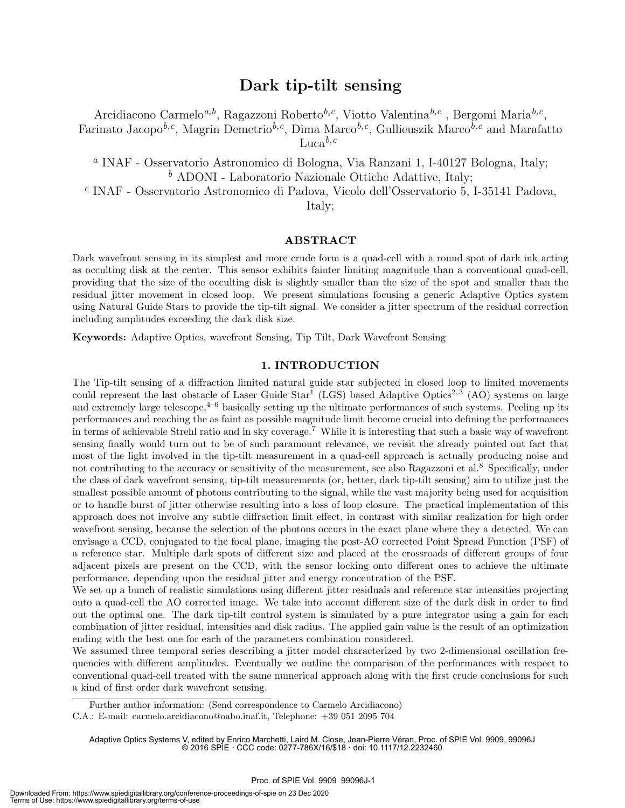### Dark tip-tilt sensing

Arcidiacono Carmelo<sup>a, b</sup>, Ragazzoni Roberto<sup>b, c</sup>, Viotto Valentina<sup>b, c</sup>, Bergomi Maria<sup>b, c</sup>, Farinato Jacopo<sup>b,c</sup>, Magrin Demetrio<sup>b,c</sup>, Dima Marco<sup>b,c</sup>, Gullieuszik Marco<sup>b,c</sup> and Marafatto Luca $^{b,c}$ 

<sup>a</sup> INAF - Osservatorio Astronomico di Bologna, Via Ranzani 1, I-40127 Bologna, Italy;  $\bar{b}$  ADONI - Laboratorio Nazionale Ottiche Adattive, Italy;

c INAF - Osservatorio Astronomico di Padova, Vicolo dell'Osservatorio 5, I-35141 Padova,

Italy;

#### ABSTRACT

Dark wavefront sensing in its simplest and more crude form is a quad-cell with a round spot of dark ink acting as occulting disk at the center. This sensor exhibits fainter limiting magnitude than a conventional quad-cell, providing that the size of the occulting disk is slightly smaller than the size of the spot and smaller than the residual jitter movement in closed loop. We present simulations focusing a generic Adaptive Optics system using Natural Guide Stars to provide the tip-tilt signal. We consider a jitter spectrum of the residual correction including amplitudes exceeding the dark disk size.

Keywords: Adaptive Optics, wavefront Sensing, Tip Tilt, Dark Wavefront Sensing

#### 1. INTRODUCTION

The Tip-tilt sensing of a diffraction limited natural guide star subjected in closed loop to limited movements could represent the last obstacle of Laser Guide Star<sup>1</sup> (LGS) based Adaptive Optics<sup>2,3</sup> (AO) systems on large and extremely large telescope, $4-6$  basically setting up the ultimate performances of such systems. Peeling up its performances and reaching the as faint as possible magnitude limit become crucial into defining the performances in terms of achievable Strehl ratio and in sky coverage.<sup>7</sup> While it is interesting that such a basic way of wavefront sensing finally would turn out to be of such paramount relevance, we revisit the already pointed out fact that most of the light involved in the tip-tilt measurement in a quad-cell approach is actually producing noise and not contributing to the accuracy or sensitivity of the measurement, see also Ragazzoni et al.<sup>8</sup> Specifically, under the class of dark wavefront sensing, tip-tilt measurements (or, better, dark tip-tilt sensing) aim to utilize just the smallest possible amount of photons contributing to the signal, while the vast majority being used for acquisition or to handle burst of jitter otherwise resulting into a loss of loop closure. The practical implementation of this approach does not involve any subtle diffraction limit effect, in contrast with similar realization for high order wavefront sensing, because the selection of the photons occurs in the exact plane where they a detected. We can envisage a CCD, conjugated to the focal plane, imaging the post-AO corrected Point Spread Function (PSF) of a reference star. Multiple dark spots of different size and placed at the crossroads of different groups of four adjacent pixels are present on the CCD, with the sensor locking onto different ones to achieve the ultimate performance, depending upon the residual jitter and energy concentration of the PSF.

We set up a bunch of realistic simulations using different jitter residuals and reference star intensities projecting onto a quad-cell the AO corrected image. We take into account different size of the dark disk in order to find out the optimal one. The dark tip-tilt control system is simulated by a pure integrator using a gain for each combination of jitter residual, intensities and disk radius. The applied gain value is the result of an optimization ending with the best one for each of the parameters combination considered.

We assumed three temporal series describing a jitter model characterized by two 2-dimensional oscillation frequencies with different amplitudes. Eventually we outline the comparison of the performances with respect to conventional quad-cell treated with the same numerical approach along with the first crude conclusions for such a kind of first order dark wavefront sensing.

Further author information: (Send correspondence to Carmelo Arcidiacono)

C.A.: E-mail: carmelo.arcidiacono@oabo.inaf.it, Telephone: +39 051 2095 704

Adaptive Optics Systems V, edited by Enrico Marchetti, Laird M. Close, Jean-Pierre Véran, Proc. of SPIE Vol. 9909, 99096J © 2016 SPIE · CCC code: 0277-786X/16/\$18 · doi: 10.1117/12.2232460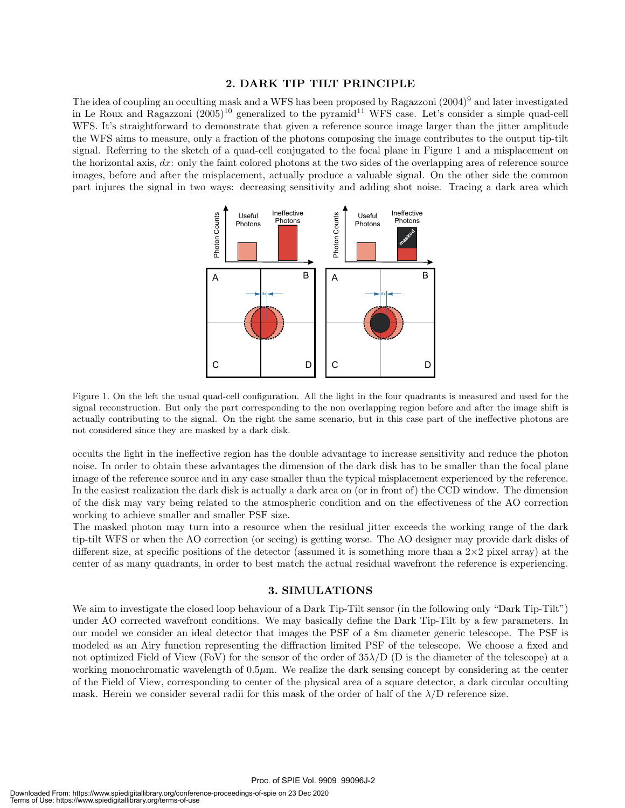#### 2. DARK TIP TILT PRINCIPLE

The idea of coupling an occulting mask and a WFS has been proposed by Ragazzoni (2004)<sup>9</sup> and later investigated in Le Roux and Ragazzoni  $(2005)^{10}$  generalized to the pyramid<sup>11</sup> WFS case. Let's consider a simple quad-cell WFS. It's straightforward to demonstrate that given a reference source image larger than the jitter amplitude the WFS aims to measure, only a fraction of the photons composing the image contributes to the output tip-tilt signal. Referring to the sketch of a quad-cell conjugated to the focal plane in Figure 1 and a misplacement on the horizontal axis,  $dx$ : only the faint colored photons at the two sides of the overlapping area of reference source images, before and after the misplacement, actually produce a valuable signal. On the other side the common part injures the signal in two ways: decreasing sensitivity and adding shot noise. Tracing a dark area which



Figure 1. On the left the usual quad-cell configuration. All the light in the four quadrants is measured and used for the signal reconstruction. But only the part corresponding to the non overlapping region before and after the image shift is actually contributing to the signal. On the right the same scenario, but in this case part of the ineffective photons are not considered since they are masked by a dark disk.

occults the light in the ineffective region has the double advantage to increase sensitivity and reduce the photon noise. In order to obtain these advantages the dimension of the dark disk has to be smaller than the focal plane image of the reference source and in any case smaller than the typical misplacement experienced by the reference. In the easiest realization the dark disk is actually a dark area on (or in front of) the CCD window. The dimension of the disk may vary being related to the atmospheric condition and on the effectiveness of the AO correction working to achieve smaller and smaller PSF size.

The masked photon may turn into a resource when the residual jitter exceeds the working range of the dark tip-tilt WFS or when the AO correction (or seeing) is getting worse. The AO designer may provide dark disks of different size, at specific positions of the detector (assumed it is something more than a  $2\times 2$  pixel array) at the center of as many quadrants, in order to best match the actual residual wavefront the reference is experiencing.

#### 3. SIMULATIONS

We aim to investigate the closed loop behaviour of a Dark Tip-Tilt sensor (in the following only "Dark Tip-Tilt") under AO corrected wavefront conditions. We may basically define the Dark Tip-Tilt by a few parameters. In our model we consider an ideal detector that images the PSF of a 8m diameter generic telescope. The PSF is modeled as an Airy function representing the diffraction limited PSF of the telescope. We choose a fixed and not optimized Field of View (FoV) for the sensor of the order of  $35\lambda/D$  (D is the diameter of the telescope) at a working monochromatic wavelength of  $0.5\mu$ m. We realize the dark sensing concept by considering at the center of the Field of View, corresponding to center of the physical area of a square detector, a dark circular occulting mask. Herein we consider several radii for this mask of the order of half of the  $\lambda/D$  reference size.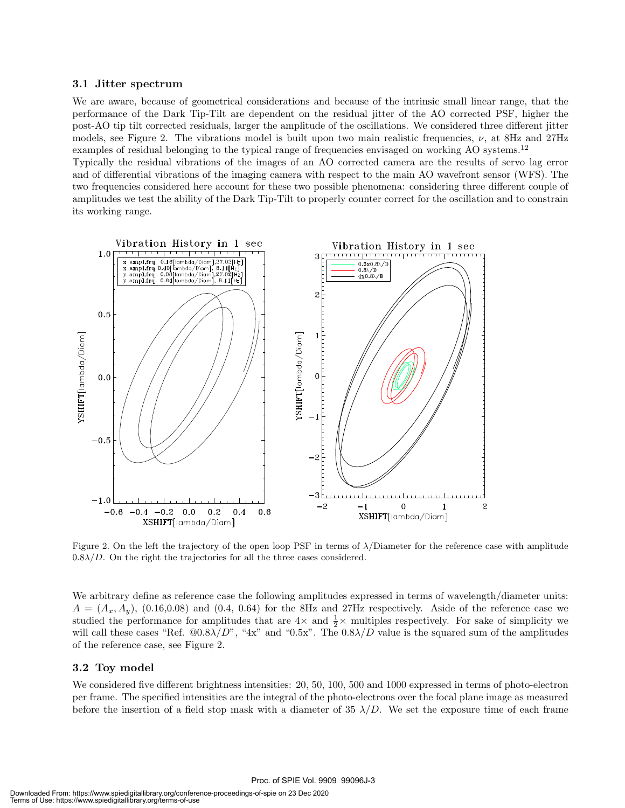#### 3.1 Jitter spectrum

We are aware, because of geometrical considerations and because of the intrinsic small linear range, that the performance of the Dark Tip-Tilt are dependent on the residual jitter of the AO corrected PSF, higher the post-AO tip tilt corrected residuals, larger the amplitude of the oscillations. We considered three different jitter models, see Figure 2. The vibrations model is built upon two main realistic frequencies,  $\nu$ , at 8Hz and 27Hz examples of residual belonging to the typical range of frequencies envisaged on working AO systems.<sup>12</sup> Typically the residual vibrations of the images of an AO corrected camera are the results of servo lag error and of differential vibrations of the imaging camera with respect to the main AO wavefront sensor (WFS). The two frequencies considered here account for these two possible phenomena: considering three different couple of amplitudes we test the ability of the Dark Tip-Tilt to properly counter correct for the oscillation and to constrain its working range.



Figure 2. On the left the trajectory of the open loop PSF in terms of  $\lambda$ /Diameter for the reference case with amplitude  $0.8\lambda/D$ . On the right the trajectories for all the three cases considered.

We arbitrary define as reference case the following amplitudes expressed in terms of wavelength/diameter units:  $A = (A_x, A_y)$ , (0.16,0.08) and (0.4, 0.64) for the 8Hz and 27Hz respectively. Aside of the reference case we studied the performance for amplitudes that are  $4\times$  and  $\frac{1}{2}\times$  multiples respectively. For sake of simplicity we will call these cases "Ref.  $@0.8\lambda/D"$ , "4x" and "0.5x". The  $0.8\lambda/D$  value is the squared sum of the amplitudes of the reference case, see Figure 2.

#### 3.2 Toy model

We considered five different brightness intensities: 20, 50, 100, 500 and 1000 expressed in terms of photo-electron per frame. The specified intensities are the integral of the photo-electrons over the focal plane image as measured before the insertion of a field stop mask with a diameter of 35  $\lambda/D$ . We set the exposure time of each frame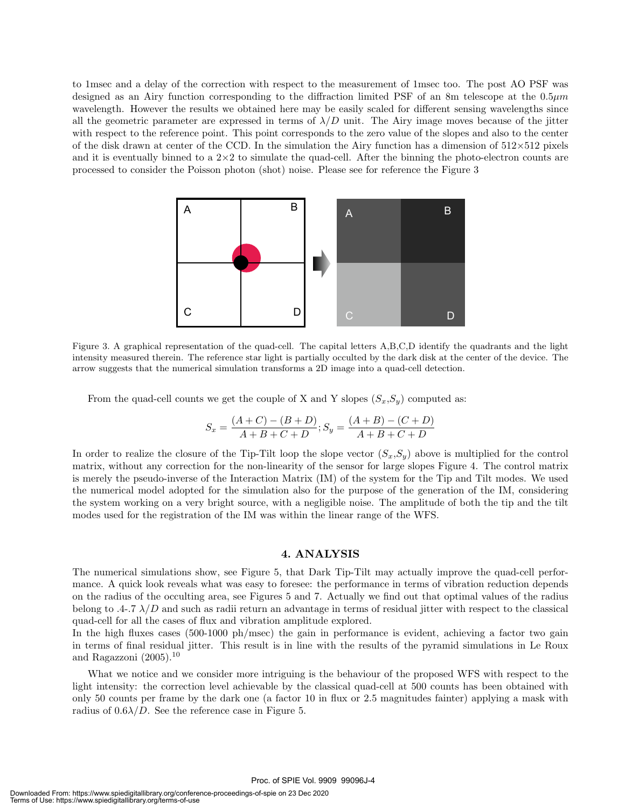to 1msec and a delay of the correction with respect to the measurement of 1msec too. The post AO PSF was designed as an Airy function corresponding to the diffraction limited PSF of an 8m telescope at the  $0.5\mu m$ wavelength. However the results we obtained here may be easily scaled for different sensing wavelengths since all the geometric parameter are expressed in terms of  $\lambda/D$  unit. The Airy image moves because of the jitter with respect to the reference point. This point corresponds to the zero value of the slopes and also to the center of the disk drawn at center of the CCD. In the simulation the Airy function has a dimension of  $512\times512$  pixels and it is eventually binned to a  $2\times 2$  to simulate the quad-cell. After the binning the photo-electron counts are processed to consider the Poisson photon (shot) noise. Please see for reference the Figure 3



Figure 3. A graphical representation of the quad-cell. The capital letters A,B,C,D identify the quadrants and the light intensity measured therein. The reference star light is partially occulted by the dark disk at the center of the device. The arrow suggests that the numerical simulation transforms a 2D image into a quad-cell detection.

From the quad-cell counts we get the couple of X and Y slopes  $(S_x, S_y)$  computed as:

$$
S_x = \frac{(A+C) - (B+D)}{A+B+C+D}; S_y = \frac{(A+B) - (C+D)}{A+B+C+D}
$$

In order to realize the closure of the Tip-Tilt loop the slope vector  $(S_x, S_y)$  above is multiplied for the control matrix, without any correction for the non-linearity of the sensor for large slopes Figure 4. The control matrix is merely the pseudo-inverse of the Interaction Matrix (IM) of the system for the Tip and Tilt modes. We used the numerical model adopted for the simulation also for the purpose of the generation of the IM, considering the system working on a very bright source, with a negligible noise. The amplitude of both the tip and the tilt modes used for the registration of the IM was within the linear range of the WFS.

#### 4. ANALYSIS

The numerical simulations show, see Figure 5, that Dark Tip-Tilt may actually improve the quad-cell performance. A quick look reveals what was easy to foresee: the performance in terms of vibration reduction depends on the radius of the occulting area, see Figures 5 and 7. Actually we find out that optimal values of the radius belong to .4.7  $\lambda/D$  and such as radii return an advantage in terms of residual jitter with respect to the classical quad-cell for all the cases of flux and vibration amplitude explored.

In the high fluxes cases (500-1000 ph/msec) the gain in performance is evident, achieving a factor two gain in terms of final residual jitter. This result is in line with the results of the pyramid simulations in Le Roux and Ragazzoni (2005).<sup>10</sup>

What we notice and we consider more intriguing is the behaviour of the proposed WFS with respect to the light intensity: the correction level achievable by the classical quad-cell at 500 counts has been obtained with only 50 counts per frame by the dark one (a factor 10 in flux or 2.5 magnitudes fainter) applying a mask with radius of  $0.6\lambda/D$ . See the reference case in Figure 5.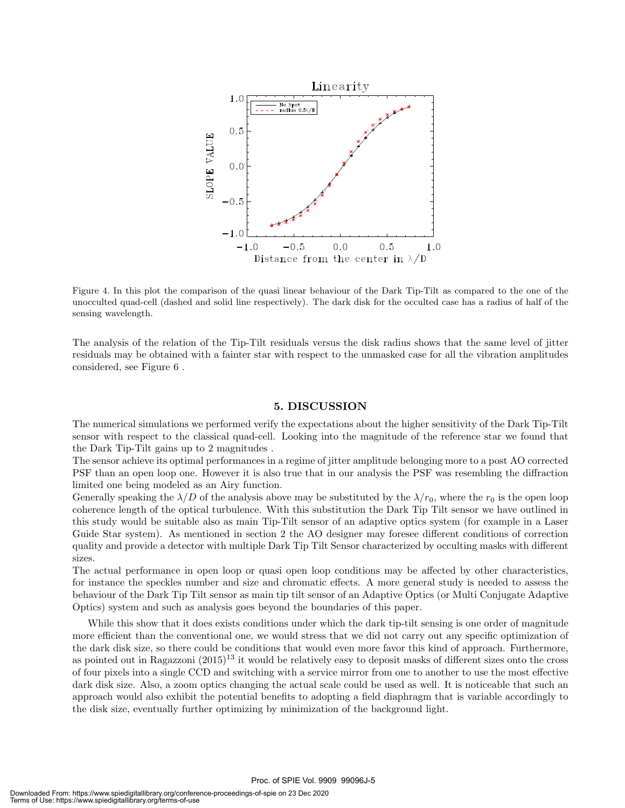

Figure 4. In this plot the comparison of the quasi linear behaviour of the Dark Tip-Tilt as compared to the one of the unocculted quad-cell (dashed and solid line respectively). The dark disk for the occulted case has a radius of half of the sensing wavelength.

The analysis of the relation of the Tip-Tilt residuals versus the disk radius shows that the same level of jitter residuals may be obtained with a fainter star with respect to the unmasked case for all the vibration amplitudes considered, see Figure 6 .

#### 5. DISCUSSION

The numerical simulations we performed verify the expectations about the higher sensitivity of the Dark Tip-Tilt sensor with respect to the classical quad-cell. Looking into the magnitude of the reference star we found that the Dark Tip-Tilt gains up to 2 magnitudes .

The sensor achieve its optimal performances in a regime of jitter amplitude belonging more to a post AO corrected PSF than an open loop one. However it is also true that in our analysis the PSF was resembling the diffraction limited one being modeled as an Airy function.

Generally speaking the  $\lambda/D$  of the analysis above may be substituted by the  $\lambda/r_0$ , where the  $r_0$  is the open loop coherence length of the optical turbulence. With this substitution the Dark Tip Tilt sensor we have outlined in this study would be suitable also as main Tip-Tilt sensor of an adaptive optics system (for example in a Laser Guide Star system). As mentioned in section 2 the AO designer may foresee different conditions of correction quality and provide a detector with multiple Dark Tip Tilt Sensor characterized by occulting masks with different sizes.

The actual performance in open loop or quasi open loop conditions may be affected by other characteristics, for instance the speckles number and size and chromatic effects. A more general study is needed to assess the behaviour of the Dark Tip Tilt sensor as main tip tilt sensor of an Adaptive Optics (or Multi Conjugate Adaptive Optics) system and such as analysis goes beyond the boundaries of this paper.

While this show that it does exists conditions under which the dark tip-tilt sensing is one order of magnitude more efficient than the conventional one, we would stress that we did not carry out any specific optimization of the dark disk size, so there could be conditions that would even more favor this kind of approach. Furthermore, as pointed out in Ragazzoni  $(2015)^{13}$  it would be relatively easy to deposit masks of different sizes onto the cross of four pixels into a single CCD and switching with a service mirror from one to another to use the most effective dark disk size. Also, a zoom optics changing the actual scale could be used as well. It is noticeable that such an approach would also exhibit the potential benefits to adopting a field diaphragm that is variable accordingly to the disk size, eventually further optimizing by minimization of the background light.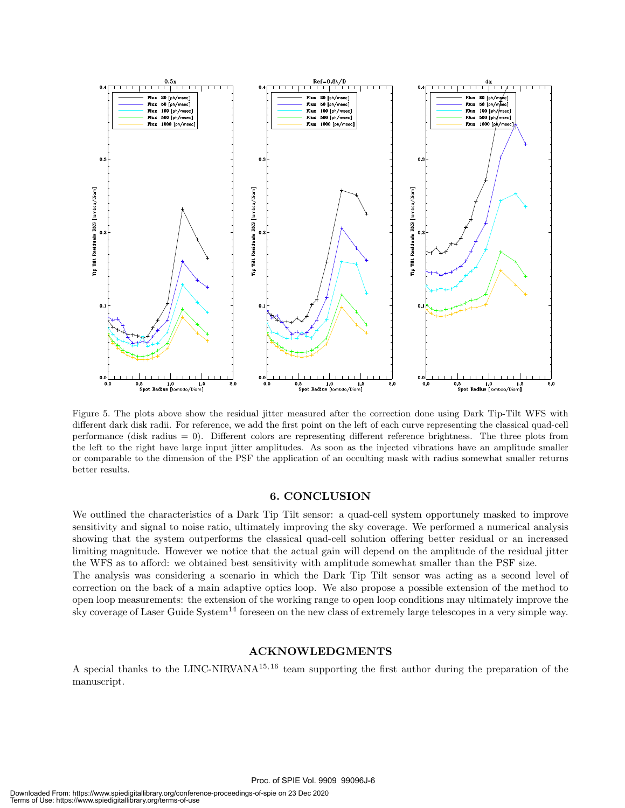

Figure 5. The plots above show the residual jitter measured after the correction done using Dark Tip-Tilt WFS with different dark disk radii. For reference, we add the first point on the left of each curve representing the classical quad-cell performance (disk radius  $= 0$ ). Different colors are representing different reference brightness. The three plots from the left to the right have large input jitter amplitudes. As soon as the injected vibrations have an amplitude smaller or comparable to the dimension of the PSF the application of an occulting mask with radius somewhat smaller returns better results.

#### 6. CONCLUSION

We outlined the characteristics of a Dark Tip Tilt sensor: a quad-cell system opportunely masked to improve sensitivity and signal to noise ratio, ultimately improving the sky coverage. We performed a numerical analysis showing that the system outperforms the classical quad-cell solution offering better residual or an increased limiting magnitude. However we notice that the actual gain will depend on the amplitude of the residual jitter the WFS as to afford: we obtained best sensitivity with amplitude somewhat smaller than the PSF size. The analysis was considering a scenario in which the Dark Tip Tilt sensor was acting as a second level of correction on the back of a main adaptive optics loop. We also propose a possible extension of the method to open loop measurements: the extension of the working range to open loop conditions may ultimately improve the sky coverage of Laser Guide System<sup>14</sup> foreseen on the new class of extremely large telescopes in a very simple way.

#### ACKNOWLEDGMENTS

A special thanks to the LINC-NIRVANA15, 16 team supporting the first author during the preparation of the manuscript.

Proc. of SPIE Vol. 9909 99096J-6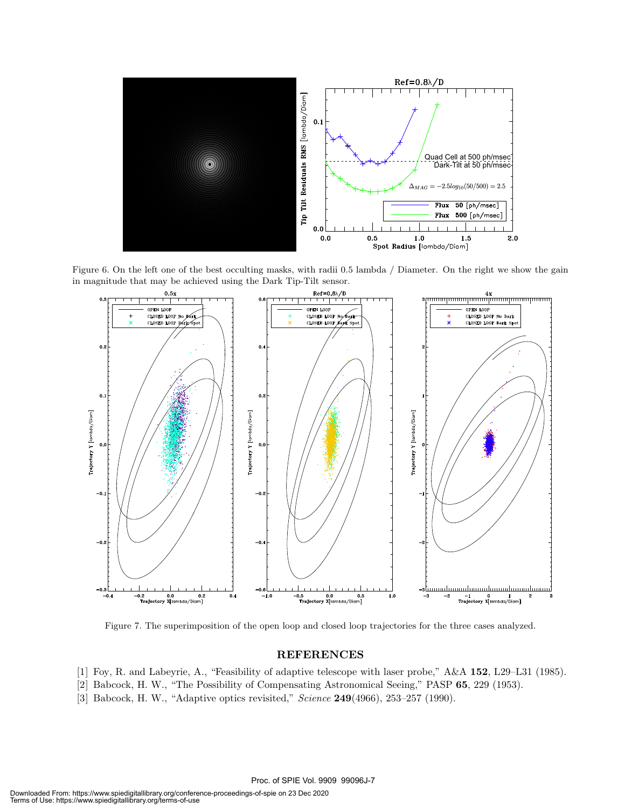

Figure 6. On the left one of the best occulting masks, with radii 0.5 lambda / Diameter. On the right we show the gain in magnitude that may be achieved using the Dark Tip-Tilt sensor.



Figure 7. The superimposition of the open loop and closed loop trajectories for the three cases analyzed.

#### **REFERENCES**

- [1] Foy, R. and Labeyrie, A., "Feasibility of adaptive telescope with laser probe," A&A 152, L29–L31 (1985).
- [2] Babcock, H. W., "The Possibility of Compensating Astronomical Seeing," PASP 65, 229 (1953).
- [3] Babcock, H. W., "Adaptive optics revisited," *Science* 249(4966), 253–257 (1990).